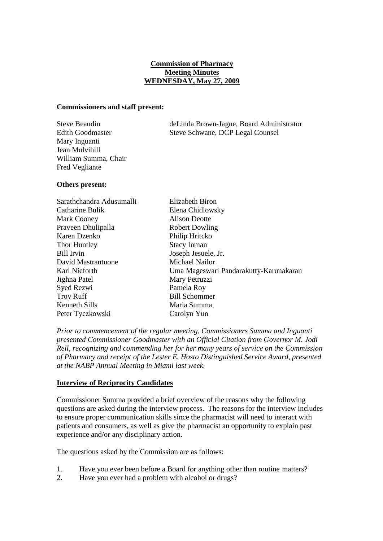# **Commission of Pharmacy Meeting Minutes WEDNESDAY, May 27, 2009**

### **Commissioners and staff present:**

| <b>Steve Beaudin</b>    |
|-------------------------|
| <b>Edith Goodmaster</b> |
| Mary Inguanti           |
| Jean Mulvihill          |
| William Summa, Chair    |
| <b>Fred Vegliante</b>   |

deLinda Brown-Jagne, Board Administrator Steve Schwane, DCP Legal Counsel

### **Others present:**

| Sarathchandra Adusumalli | <b>Elizabeth Biron</b>                 |
|--------------------------|----------------------------------------|
| Catharine Bulik          | Elena Chidlowsky                       |
| Mark Cooney              | Alison Deotte                          |
| Praveen Dhulipalla       | <b>Robert Dowling</b>                  |
| Karen Dzenko             | Philip Hritcko                         |
| Thor Huntley             | <b>Stacy Inman</b>                     |
| <b>Bill Irvin</b>        | Joseph Jesuele, Jr.                    |
| David Mastrantuone       | Michael Nailor                         |
| Karl Nieforth            | Uma Mageswari Pandarakutty-Karunakaran |
| Jighna Patel             | Mary Petruzzi                          |
| Syed Rezwi               | Pamela Roy                             |
| <b>Troy Ruff</b>         | <b>Bill Schommer</b>                   |
| Kenneth Sills            | Maria Summa                            |
| Peter Tyczkowski         | Carolyn Yun                            |

*Prior to commencement of the regular meeting, Commissioners Summa and Inguanti presented Commissioner Goodmaster with an Official Citation from Governor M. Jodi Rell, recognizing and commending her for her many years of service on the Commission of Pharmacy and receipt of the Lester E. Hosto Distinguished Service Award, presented at the NABP Annual Meeting in Miami last week.* 

# **Interview of Reciprocity Candidates**

Commissioner Summa provided a brief overview of the reasons why the following questions are asked during the interview process. The reasons for the interview includes to ensure proper communication skills since the pharmacist will need to interact with patients and consumers, as well as give the pharmacist an opportunity to explain past experience and/or any disciplinary action.

The questions asked by the Commission are as follows:

- 1. Have you ever been before a Board for anything other than routine matters?
- 2. Have you ever had a problem with alcohol or drugs?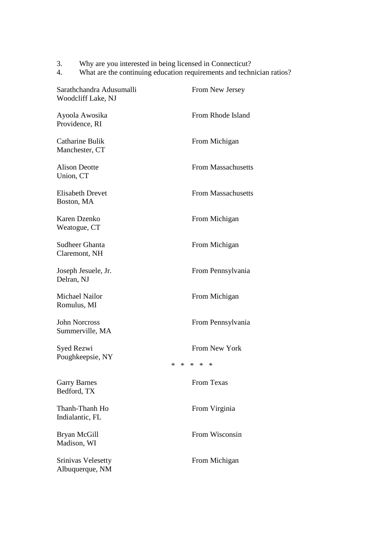- 3. Why are you interested in being licensed in Connecticut?
- 4. What are the continuing education requirements and technician ratios?

| Sarathchandra Adusumalli<br>Woodcliff Lake, NJ | From New Jersey                                            |
|------------------------------------------------|------------------------------------------------------------|
| Ayoola Awosika<br>Providence, RI               | From Rhode Island                                          |
| Catharine Bulik<br>Manchester, CT              | From Michigan                                              |
| <b>Alison Deotte</b><br>Union, CT              | <b>From Massachusetts</b>                                  |
| <b>Elisabeth Drevet</b><br>Boston, MA          | <b>From Massachusetts</b>                                  |
| Karen Dzenko<br>Weatogue, CT                   | From Michigan                                              |
| <b>Sudheer Ghanta</b><br>Claremont, NH         | From Michigan                                              |
| Joseph Jesuele, Jr.<br>Delran, NJ              | From Pennsylvania                                          |
| Michael Nailor<br>Romulus, MI                  | From Michigan                                              |
| <b>John Norcross</b><br>Summerville, MA        | From Pennsylvania                                          |
| Syed Rezwi<br>Poughkeepsie, NY                 | From New York<br>$\ast$<br>$\ast$<br>$\ast$<br>$\ast$<br>∗ |
| <b>Garry Barnes</b><br>Bedford, TX             | <b>From Texas</b>                                          |
| Thanh-Thanh Ho<br>Indialantic, FL              | From Virginia                                              |
| Bryan McGill<br>Madison, WI                    | From Wisconsin                                             |
| <b>Srinivas Velesetty</b><br>Albuquerque, NM   | From Michigan                                              |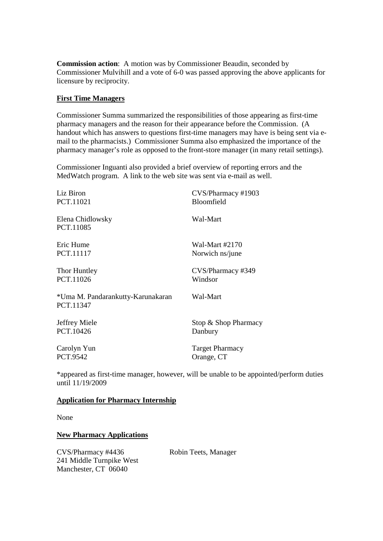**Commission action**: A motion was by Commissioner Beaudin, seconded by Commissioner Mulvihill and a vote of 6-0 was passed approving the above applicants for licensure by reciprocity.

# **First Time Managers**

Commissioner Summa summarized the responsibilities of those appearing as first-time pharmacy managers and the reason for their appearance before the Commission. (A handout which has answers to questions first-time managers may have is being sent via email to the pharmacists.) Commissioner Summa also emphasized the importance of the pharmacy manager's role as opposed to the front-store manager (in many retail settings).

Commissioner Inguanti also provided a brief overview of reporting errors and the MedWatch program. A link to the web site was sent via e-mail as well.

| Liz Biron                                      | CVS/Pharmacy #1903     |
|------------------------------------------------|------------------------|
| PCT.11021                                      | Bloomfield             |
| Elena Chidlowsky<br>PCT.11085                  | Wal-Mart               |
| Eric Hume                                      | Wal-Mart #2170         |
| PCT.11117                                      | Norwich ns/june        |
| Thor Huntley                                   | CVS/Pharmacy #349      |
| PCT.11026                                      | Windsor                |
| *Uma M. Pandarankutty-Karunakaran<br>PCT.11347 | Wal-Mart               |
| Jeffrey Miele                                  | Stop & Shop Pharmacy   |
| PCT.10426                                      | Danbury                |
| Carolyn Yun                                    | <b>Target Pharmacy</b> |
| PCT.9542                                       | Orange, CT             |

\*appeared as first-time manager, however, will be unable to be appointed/perform duties until 11/19/2009

### **Application for Pharmacy Internship**

None

# **New Pharmacy Applications**

CVS/Pharmacy #4436 Robin Teets, Manager 241 Middle Turnpike West Manchester, CT 06040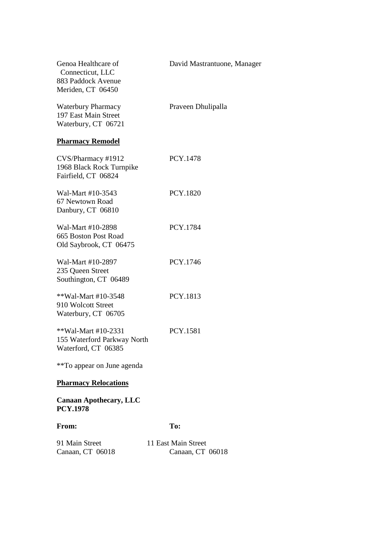| Genoa Healthcare of<br>Connecticut, LLC<br>883 Paddock Avenue<br>Meriden, CT 06450 | David Mastrantuone, Manager             |
|------------------------------------------------------------------------------------|-----------------------------------------|
| <b>Waterbury Pharmacy</b><br>197 East Main Street<br>Waterbury, CT 06721           | Praveen Dhulipalla                      |
| <b>Pharmacy Remodel</b>                                                            |                                         |
| CVS/Pharmacy #1912<br>1968 Black Rock Turnpike<br>Fairfield, CT 06824              | PCY.1478                                |
| Wal-Mart #10-3543<br>67 Newtown Road<br>Danbury, CT 06810                          | <b>PCY.1820</b>                         |
| Wal-Mart #10-2898<br>665 Boston Post Road<br>Old Saybrook, CT 06475                | PCY.1784                                |
| Wal-Mart #10-2897<br>235 Queen Street<br>Southington, CT 06489                     | PCY.1746                                |
| **Wal-Mart #10-3548<br>910 Wolcott Street<br>Waterbury, CT 06705                   | PCY.1813                                |
| **Wal-Mart #10-2331<br>155 Waterford Parkway North<br>Waterford, CT 06385          | <b>PCY.1581</b>                         |
| **To appear on June agenda                                                         |                                         |
| <b>Pharmacy Relocations</b>                                                        |                                         |
| <b>Canaan Apothecary, LLC</b><br><b>PCY.1978</b>                                   |                                         |
| From:                                                                              | To:                                     |
| 91 Main Street<br>Canaan, CT 06018                                                 | 11 East Main Street<br>Canaan, CT 06018 |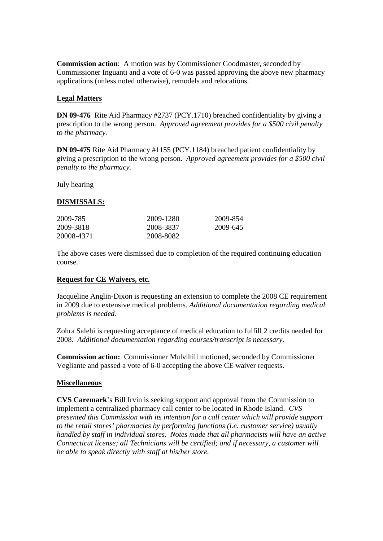**Commission action**: A motion was by Commissioner Goodmaster, seconded by Commissioner Inguanti and a vote of 6-0 was passed approving the above new pharmacy applications (unless noted otherwise), remodels and relocations.

# **Legal Matters**

**DN 09-476** Rite Aid Pharmacy #2737 (PCY.1710) breached confidentiality by giving a prescription to the wrong person. *Approved agreement provides for a \$500 civil penalty to the pharmacy.*

**DN 09-475** Rite Aid Pharmacy #1155 (PCY.1184) breached patient confidentiality by giving a prescription to the wrong person. *Approved agreement provides for a \$500 civil penalty to the pharmacy.*

July hearing

# **DISMISSALS:**

| 2009-785   | 2009-1280 | 2009-854 |
|------------|-----------|----------|
| 2009-3818  | 2008-3837 | 2009-645 |
| 20008-4371 | 2008-8082 |          |

The above cases were dismissed due to completion of the required continuing education course.

### **Request for CE Waivers, etc.**

Jacqueline Anglin-Dixon is requesting an extension to complete the 2008 CE requirement in 2009 due to extensive medical problems. *Additional documentation regarding medical problems is needed.*

Zohra Salehi is requesting acceptance of medical education to fulfill 2 credits needed for 2008. *Additional documentation regarding courses/transcript is necessary.*

**Commission action:** Commissioner Mulvihill motioned, seconded by Commissioner Vegliante and passed a vote of 6-0 accepting the above CE waiver requests.

### **Miscellaneous**

**CVS Caremark**'s Bill Irvin is seeking support and approval from the Commission to implement a centralized pharmacy call center to be located in Rhode Island. *CVS presented this Commission with its intention for a call center which will provide support to the retail stores' pharmacies by performing functions (i.e. customer service) usually handled by staff in individual stores. Notes made that all pharmacists will have an active Connecticut license; all Technicians will be certified; and if necessary, a customer will be able to speak directly with staff at his/her store.*